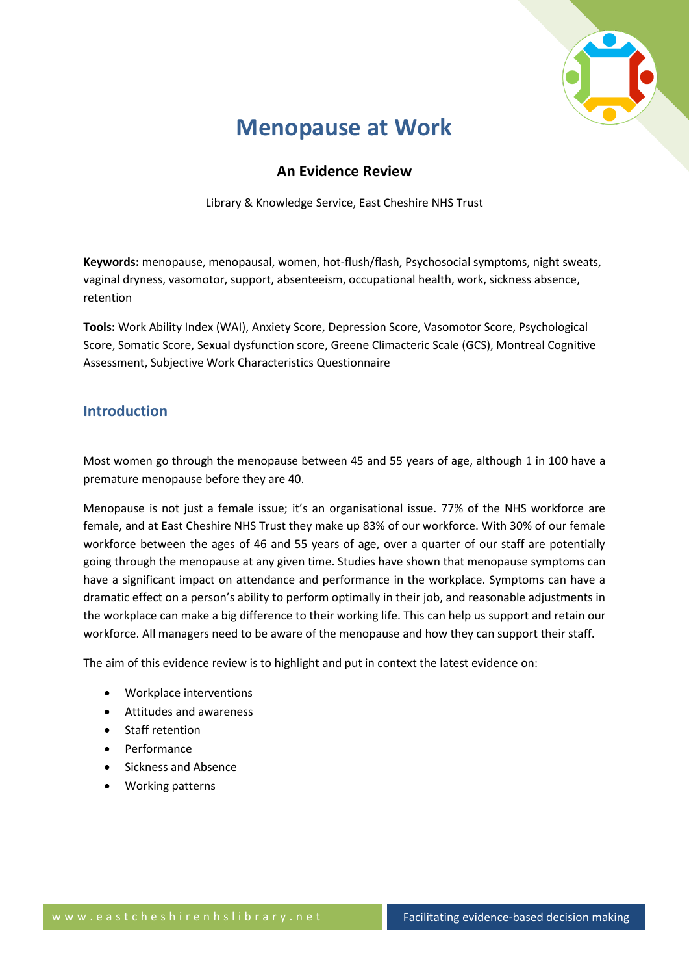

# **Menopause at Work**

# **An Evidence Review**

Library & Knowledge Service, East Cheshire NHS Trust

**Keywords:** menopause, menopausal, women, hot-flush/flash, Psychosocial symptoms, night sweats, vaginal dryness, vasomotor, support, absenteeism, occupational health, work, sickness absence, retention

**Tools:** Work Ability Index (WAI), Anxiety Score, Depression Score, Vasomotor Score, Psychological Score, Somatic Score, Sexual dysfunction score, Greene Climacteric Scale (GCS), Montreal Cognitive Assessment, Subjective Work Characteristics Questionnaire

## **Introduction**

Most women go through the menopause between 45 and 55 years of age, although 1 in 100 have a premature menopause before they are 40.

Menopause is not just a female issue; it's an organisational issue. 77% of the NHS workforce are female, and at East Cheshire NHS Trust they make up 83% of our workforce. With 30% of our female workforce between the ages of 46 and 55 years of age, over a quarter of our staff are potentially going through the menopause at any given time. Studies have shown that menopause symptoms can have a significant impact on attendance and performance in the workplace. Symptoms can have a dramatic effect on a person's ability to perform optimally in their job, and reasonable adjustments in the workplace can make a big difference to their working life. This can help us support and retain our workforce. All managers need to be aware of the menopause and how they can support their staff.

The aim of this evidence review is to highlight and put in context the latest evidence on:

- Workplace interventions
- Attitudes and awareness
- Staff retention
- Performance
- Sickness and Absence
- Working patterns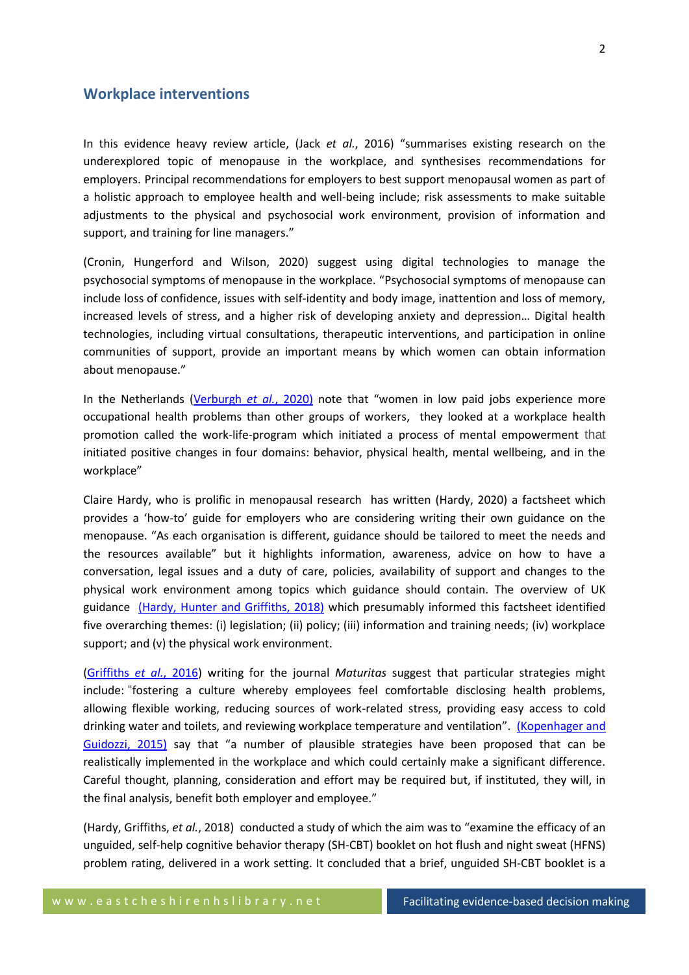#### **Workplace interventions**

In this evidence heavy review article, (Jack *et al.*, 2016) "summarises existing research on the underexplored topic of menopause in the workplace, and synthesises recommendations for employers. Principal recommendations for employers to best support menopausal women as part of a holistic approach to employee health and well-being include; risk assessments to make suitable adjustments to the physical and psychosocial work environment, provision of information and support, and training for line managers."

(Cronin, Hungerford and Wilson, 2020) suggest using digital technologies to manage the psychosocial symptoms of menopause in the workplace. "Psychosocial symptoms of menopause can include loss of confidence, issues with self-identity and body image, inattention and loss of memory, increased levels of stress, and a higher risk of developing anxiety and depression… Digital health technologies, including virtual consultations, therapeutic interventions, and participation in online communities of support, provide an important means by which women can obtain information about menopause."

In the Netherlands [\(Verburgh](http://europepmc.org/article/MED/32899848?singleResult=true) *et al.*, 2020) note that "women in low paid jobs experience more occupational health problems than other groups of workers, they looked at a workplace health promotion called the work-life-program which initiated a process of mental empowerment that initiated positive changes in four domains: behavior, physical health, mental wellbeing, and in the workplace"

Claire Hardy, who is prolific in menopausal research has written (Hardy, 2020) a factsheet which provides a 'how-to' guide for employers who are considering writing their own guidance on the menopause. "As each organisation is different, guidance should be tailored to meet the needs and the resources available" but it highlights information, awareness, advice on how to have a conversation, legal issues and a duty of care, policies, availability of support and changes to the physical work environment among topics which guidance should contain. The overview of UK guidance [\(Hardy, Hunter and Griffiths, 2018\)](https://academic.oup.com/occmed/article/68/9/580/5244620) which presumably informed this factsheet identified five overarching themes: (i) legislation; (ii) policy; (iii) information and training needs; (iv) workplace support; and (v) the physical work environment.

[\(Griffiths](https://nottingham-repository.worktribe.com/preview/774362/Griffiths%20-%20EMAS%20Working%20conditions%20for%20menopausal%20women%202016%20author%20accepted.pdf) *et al.*, 2016) writing for the journal *Maturitas* suggest that particular strategies might include: "fostering a culture whereby employees feel comfortable disclosing health problems, allowing flexible working, reducing sources of work-related stress, providing easy access to cold drinking water and toilets, and reviewing workplace temperature and ventilation". (Kopenhager and Guidozzi, 2015) say that "a number of plausible strategies have been proposed that can be realistically implemented in the workplace and which could certainly make a significant difference. Careful thought, planning, consideration and effort may be required but, if instituted, they will, in the final analysis, benefit both employer and employee."

[\(Hardy, Griffiths,](http://eprints.nottingham.ac.uk/52315/1/Hardy%20Griffiths%20et%20al%20-%20RCT%20Menopause%20Self%20help%20-%202018%20-%20%20for%20respository.pdf) *et al.*, 2018) conducted a study of which the aim was to "examine the efficacy of an unguided, self-help cognitive behavior therapy (SH-CBT) booklet on hot flush and night sweat (HFNS) problem rating, delivered in a work setting. It concluded that a brief, unguided SH-CBT booklet is a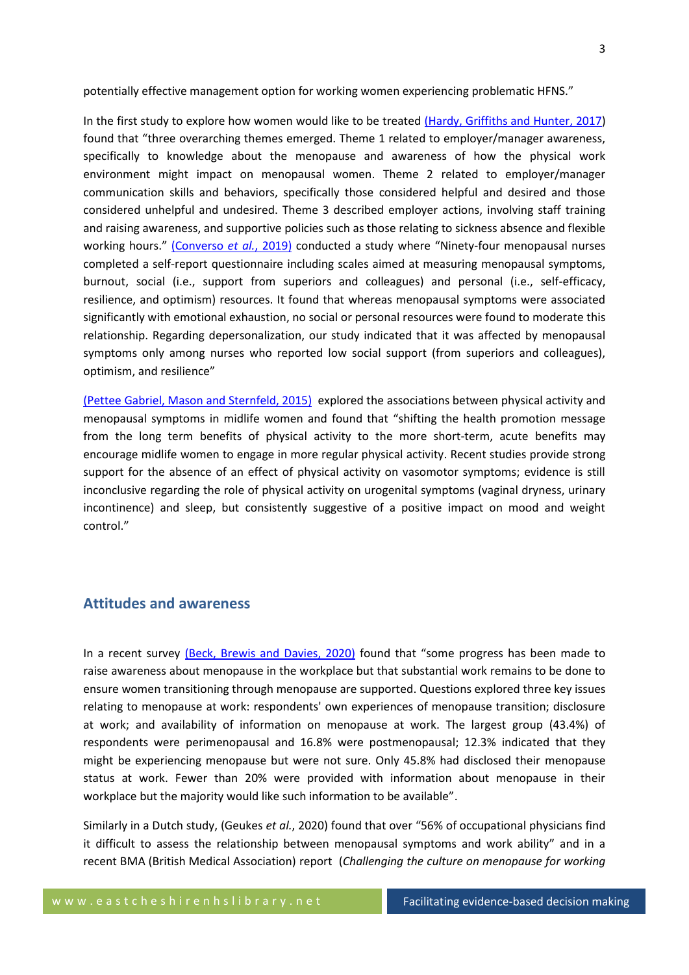potentially effective management option for working women experiencing problematic HFNS."

In the first study to explore how women would like to be treated [\(Hardy, Griffiths and Hunter, 2017\)](https://eprints.lancs.ac.uk/id/eprint/127377/1/What_do_working_menopausal_HARDY_Publishedonline22May2017_GREEN_AAM.pdf) found that "three overarching themes emerged. Theme 1 related to employer/manager awareness, specifically to knowledge about the menopause and awareness of how the physical work environment might impact on menopausal women. Theme 2 related to employer/manager communication skills and behaviors, specifically those considered helpful and desired and those considered unhelpful and undesired. Theme 3 described employer actions, involving staff training and raising awareness, and supportive policies such as those relating to sickness absence and flexible working hours." [\(Converso](https://bmcwomenshealth.biomedcentral.com/articles/10.1186/s12905-019-0847-6) *et al.*, 2019) conducted a study where "Ninety-four menopausal nurses completed a self-report questionnaire including scales aimed at measuring menopausal symptoms, burnout, social (i.e., support from superiors and colleagues) and personal (i.e., self-efficacy, resilience, and optimism) resources. It found that whereas menopausal symptoms were associated significantly with emotional exhaustion, no social or personal resources were found to moderate this relationship. Regarding depersonalization, our study indicated that it was affected by menopausal symptoms only among nurses who reported low social support (from superiors and colleagues), optimism, and resilience"

[\(Pettee Gabriel, Mason and Sternfeld, 2015\)](https://womensmidlifehealthjournal.biomedcentral.com/articles/10.1186/s40695-015-0004-9) explored the associations between physical activity and menopausal symptoms in midlife women and found that "shifting the health promotion message from the long term benefits of physical activity to the more short-term, acute benefits may encourage midlife women to engage in more regular physical activity. Recent studies provide strong support for the absence of an effect of physical activity on vasomotor symptoms; evidence is still inconclusive regarding the role of physical activity on urogenital symptoms (vaginal dryness, urinary incontinence) and sleep, but consistently suggestive of a positive impact on mood and weight control."

## **Attitudes and awareness**

In a recent survey [\(Beck, Brewis and Davies, 2020\)](http://oro.open.ac.uk/66165/3/66165.pdf) found that "some progress has been made to raise awareness about menopause in the workplace but that substantial work remains to be done to ensure women transitioning through menopause are supported. Questions explored three key issues relating to menopause at work: respondents' own experiences of menopause transition; disclosure at work; and availability of information on menopause at work. The largest group (43.4%) of respondents were perimenopausal and 16.8% were postmenopausal; 12.3% indicated that they might be experiencing menopause but were not sure. Only 45.8% had disclosed their menopause status at work. Fewer than 20% were provided with information about menopause in their workplace but the majority would like such information to be available".

Similarly in a Dutch study, (Geukes *et al.*, 2020) found that over "56% of occupational physicians find it difficult to assess the relationship between menopausal symptoms and work ability" and in a recent BMA (British Medical Association) report (*Challenging the culture on menopause for working*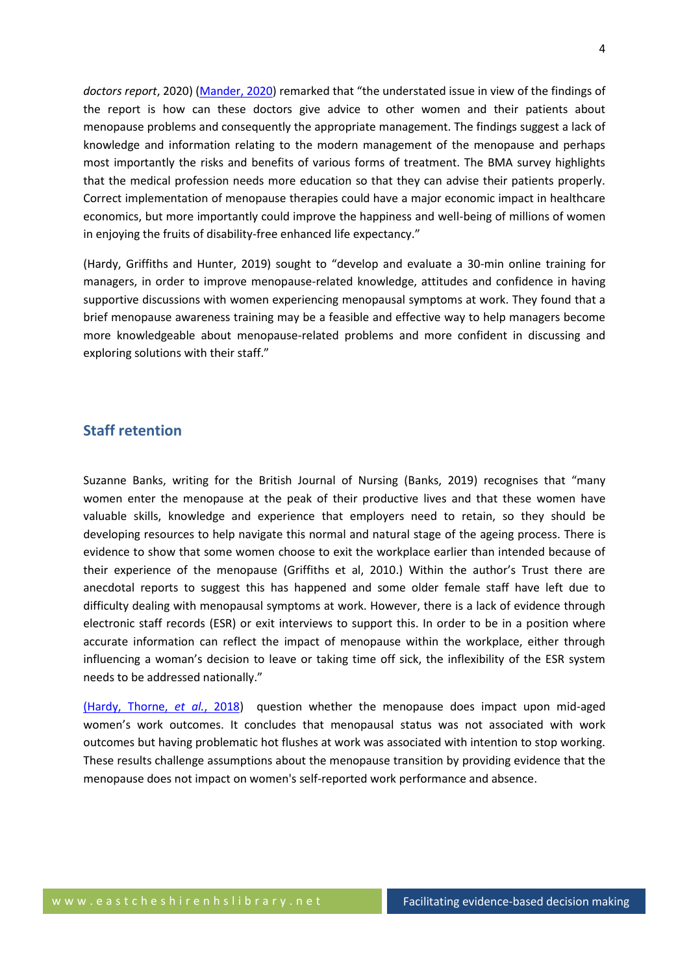*doctors report*, 2020) [\(Mander, 2020\)](https://journals.sagepub.com/doi/pdf/10.1177/2053369120958273) remarked that "the understated issue in view of the findings of the report is how can these doctors give advice to other women and their patients about menopause problems and consequently the appropriate management. The findings suggest a lack of knowledge and information relating to the modern management of the menopause and perhaps most importantly the risks and benefits of various forms of treatment. The BMA survey highlights that the medical profession needs more education so that they can advise their patients properly. Correct implementation of menopause therapies could have a major economic impact in healthcare economics, but more importantly could improve the happiness and well-being of millions of women in enjoying the fruits of disability-free enhanced life expectancy."

(Hardy, Griffiths and Hunter, 2019) sought to "develop and evaluate a 30-min online training for managers, in order to improve menopause-related knowledge, attitudes and confidence in having supportive discussions with women experiencing menopausal symptoms at work. They found that a brief menopause awareness training may be a feasible and effective way to help managers become more knowledgeable about menopause-related problems and more confident in discussing and exploring solutions with their staff."

## **Staff retention**

Suzanne Banks, writing for the British Journal of Nursing (Banks, 2019) recognises that "many women enter the menopause at the peak of their productive lives and that these women have valuable skills, knowledge and experience that employers need to retain, so they should be developing resources to help navigate this normal and natural stage of the ageing process. There is evidence to show that some women choose to exit the workplace earlier than intended because of their experience of the menopause (Griffiths et al, 2010.) Within the author's Trust there are anecdotal reports to suggest this has happened and some older female staff have left due to difficulty dealing with menopausal symptoms at work. However, there is a lack of evidence through electronic staff records (ESR) or exit interviews to support this. In order to be in a position where accurate information can reflect the impact of menopause within the workplace, either through influencing a woman's decision to leave or taking time off sick, the inflexibility of the ESR system needs to be addressed nationally."

[\(Hardy, Thorne,](https://womensmidlifehealthjournal.biomedcentral.com/articles/10.1186/s40695-018-0036-z) *et al.*, 2018) question whether the menopause does impact upon mid-aged women's work outcomes. It concludes that menopausal status was not associated with work outcomes but having problematic hot flushes at work was associated with intention to stop working. These results challenge assumptions about the menopause transition by providing evidence that the menopause does not impact on women's self-reported work performance and absence.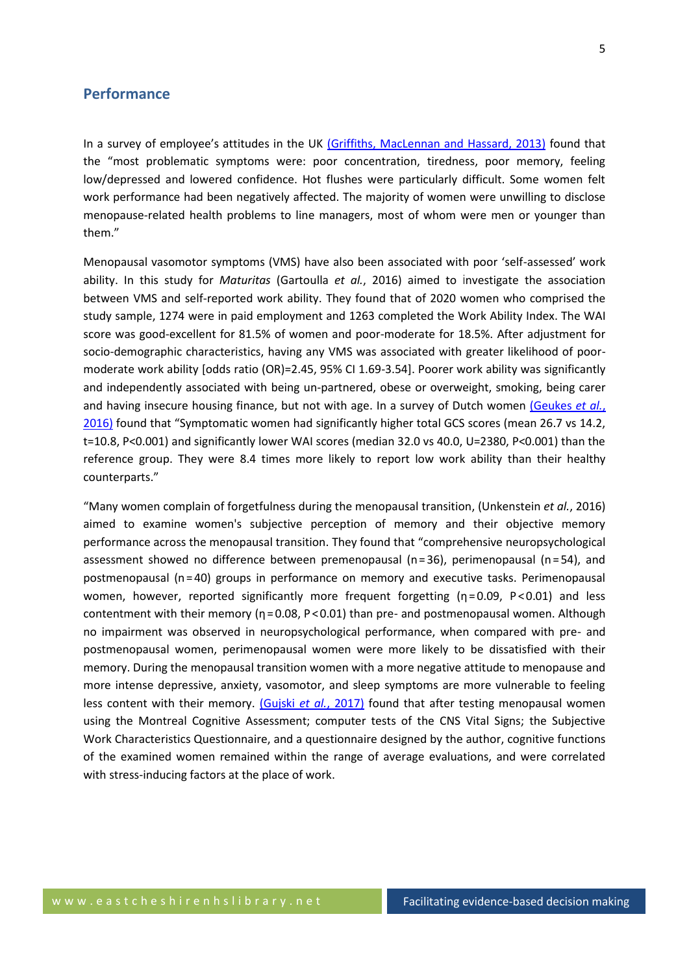## **Performance**

In a survey of employee's attitudes in the UK [\(Griffiths, MacLennan and Hassard, 2013\)](https://linkinghub.elsevier.com/retrieve/pii/S0378512213002235) found that the "most problematic symptoms were: poor concentration, tiredness, poor memory, feeling low/depressed and lowered confidence. Hot flushes were particularly difficult. Some women felt work performance had been negatively affected. The majority of women were unwilling to disclose menopause-related health problems to line managers, most of whom were men or younger than them."

Menopausal vasomotor symptoms (VMS) have also been associated with poor 'self-assessed' work ability. In this study for *Maturitas* (Gartoulla *et al.*, 2016) aimed to investigate the association between VMS and self-reported work ability. They found that of 2020 women who comprised the study sample, 1274 were in paid employment and 1263 completed the Work Ability Index. The WAI score was good-excellent for 81.5% of women and poor-moderate for 18.5%. After adjustment for socio-demographic characteristics, having any VMS was associated with greater likelihood of poormoderate work ability [odds ratio (OR)=2.45, 95% CI 1.69-3.54]. Poorer work ability was significantly and independently associated with being un-partnered, obese or overweight, smoking, being carer and having insecure housing finance, but not with age. In a survey of Dutch women [\(Geukes](https://www.maturitas.org/article/S0378-5122(16)30101-3/pdf) *et al.*, 2016) found that "Symptomatic women had significantly higher total GCS scores (mean 26.7 vs 14.2, t=10.8, P<0.001) and significantly lower WAI scores (median 32.0 vs 40.0, U=2380, P<0.001) than the reference group. They were 8.4 times more likely to report low work ability than their healthy counterparts."

"Many women complain of forgetfulness during the menopausal transition, (Unkenstein *et al.*, 2016) aimed to examine women's subjective perception of memory and their objective memory performance across the menopausal transition. They found that "comprehensive neuropsychological assessment showed no difference between premenopausal (n = 36), perimenopausal (n = 54), and postmenopausal (n = 40) groups in performance on memory and executive tasks. Perimenopausal women, however, reported significantly more frequent forgetting (η = 0.09, P < 0.01) and less contentment with their memory (η = 0.08, P < 0.01) than pre- and postmenopausal women. Although no impairment was observed in neuropsychological performance, when compared with pre- and postmenopausal women, perimenopausal women were more likely to be dissatisfied with their memory. During the menopausal transition women with a more negative attitude to menopause and more intense depressive, anxiety, vasomotor, and sleep symptoms are more vulnerable to feeling less content with their memory. [\(Gujski](https://web.a.ebscohost.com/ehost/detail/detail?vid=0&sid=5388263c-9af5-40c0-ad68-4a17322cbd5e%40sessionmgr4006&bdata=JkF1dGhUeXBlPWF0aGVucyZzaXRlPWVob3N0LWxpdmU%3d#AN=28584316&db=mdc) *et al.*, 2017) found that after testing menopausal women using the Montreal Cognitive Assessment; computer tests of the CNS Vital Signs; the Subjective Work Characteristics Questionnaire, and a questionnaire designed by the author, cognitive functions of the examined women remained within the range of average evaluations, and were correlated with stress-inducing factors at the place of work.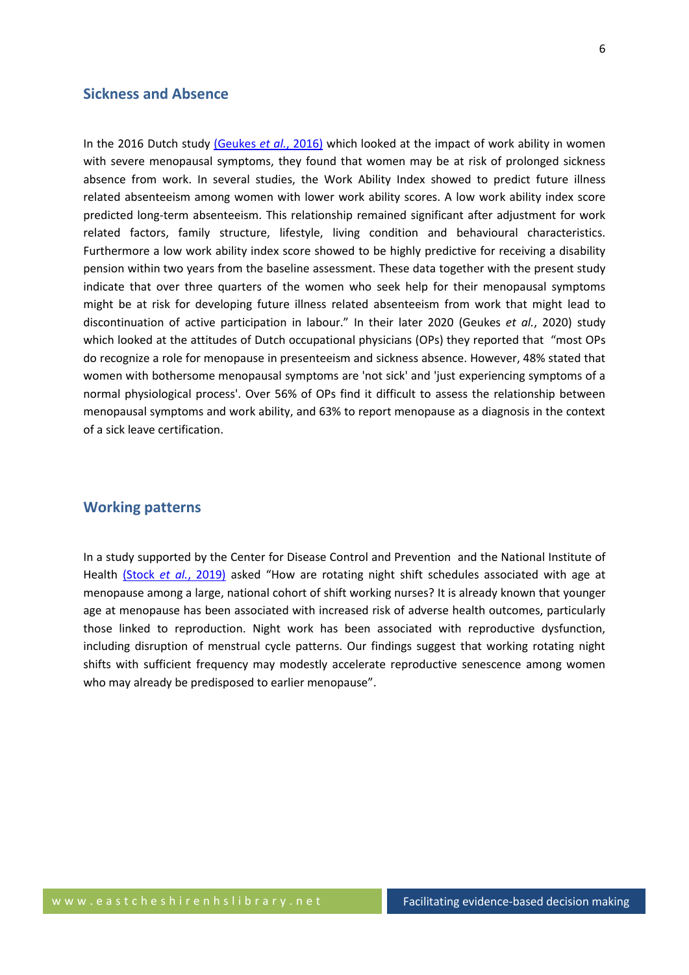#### **Sickness and Absence**

In the 2016 Dutch study [\(Geukes](https://www.maturitas.org/article/S0378-5122(16)30101-3/pdf) *et al.*, 2016) which looked at the impact of work ability in women with severe menopausal symptoms, they found that women may be at risk of prolonged sickness absence from work. In several studies, the Work Ability Index showed to predict future illness related absenteeism among women with lower work ability scores. A low work ability index score predicted long-term absenteeism. This relationship remained significant after adjustment for work related factors, family structure, lifestyle, living condition and behavioural characteristics. Furthermore a low work ability index score showed to be highly predictive for receiving a disability pension within two years from the baseline assessment. These data together with the present study indicate that over three quarters of the women who seek help for their menopausal symptoms might be at risk for developing future illness related absenteeism from work that might lead to discontinuation of active participation in labour." In their later 2020 (Geukes *et al.*, 2020) study which looked at the attitudes of Dutch occupational physicians (OPs) they reported that "most OPs do recognize a role for menopause in presenteeism and sickness absence. However, 48% stated that women with bothersome menopausal symptoms are 'not sick' and 'just experiencing symptoms of a normal physiological process'. Over 56% of OPs find it difficult to assess the relationship between

menopausal symptoms and work ability, and 63% to report menopause as a diagnosis in the context of a sick leave certification.

#### **Working patterns**

In a study supported by the Center for Disease Control and Prevention and the National Institute of Health (Stock *et al.*[, 2019\)](https://pubmed.ncbi.nlm.nih.gov/30753548/) asked "How are rotating night shift schedules associated with age at menopause among a large, national cohort of shift working nurses? It is already known that younger age at menopause has been associated with increased risk of adverse health outcomes, particularly those linked to reproduction. Night work has been associated with reproductive dysfunction, including disruption of menstrual cycle patterns. Our findings suggest that working rotating night shifts with sufficient frequency may modestly accelerate reproductive senescence among women who may already be predisposed to earlier menopause".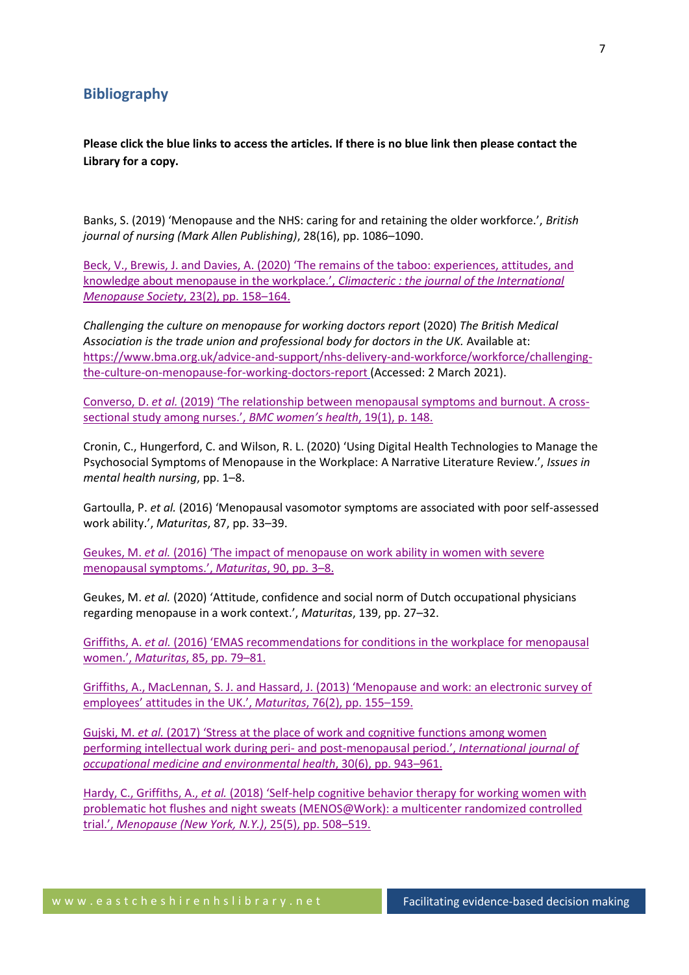#### **Bibliography**

**Please click the blue links to access the articles. If there is no blue link then please contact the Library for a copy.** 

Banks, S. (2019) 'Menopause and the NHS: caring for and retaining the older workforce.', *British journal of nursing (Mark Allen Publishing)*, 28(16), pp. 1086–1090.

Beck, V., Brewis, J. and Davies, A. [\(2020\) 'The remains of the taboo: experiences, attitudes, and](http://oro.open.ac.uk/66165/3/66165.pdf)  [knowledge about menopause in the workplace.',](http://oro.open.ac.uk/66165/3/66165.pdf) *Climacteric : the journal of the International [Menopause Society](http://oro.open.ac.uk/66165/3/66165.pdf)*, 23(2), pp. 158–164.

*Challenging the culture on menopause for working doctors report* (2020) *The British Medical Association is the trade union and professional body for doctors in the UK.* Available at: [https://www.bma.org.uk/advice-and-support/nhs-delivery-and-workforce/workforce/challenging](https://www.bma.org.uk/advice-and-support/nhs-delivery-and-workforce/workforce/challenging-the-culture-on-menopause-for-working-doctors-report)[the-culture-on-menopause-for-working-doctors-report](https://www.bma.org.uk/advice-and-support/nhs-delivery-and-workforce/workforce/challenging-the-culture-on-menopause-for-working-doctors-report) (Accessed: 2 March 2021).

Converso, D. *et al.* [\(2019\) 'The relationship between menopausal symptoms and burnout. A cross](https://bmcwomenshealth.biomedcentral.com/articles/10.1186/s12905-019-0847-6)[sectional study among nurses.',](https://bmcwomenshealth.biomedcentral.com/articles/10.1186/s12905-019-0847-6) *BMC women's health*, 19(1), p. 148.

Cronin, C., Hungerford, C. and Wilson, R. L. (2020) 'Using Digital Health Technologies to Manage the Psychosocial Symptoms of Menopause in the Workplace: A Narrative Literature Review.', *Issues in mental health nursing*, pp. 1–8.

Gartoulla, P. *et al.* (2016) 'Menopausal vasomotor symptoms are associated with poor self-assessed work ability.', *Maturitas*, 87, pp. 33–39.

Geukes, M. *et al.* [\(2016\) 'The impact of menopause on work ability in women with severe](https://www.maturitas.org/article/S0378-5122(16)30101-3/pdf)  [menopausal symptoms.',](https://www.maturitas.org/article/S0378-5122(16)30101-3/pdf) *Maturitas*, 90, pp. 3–8.

Geukes, M. *et al.* (2020) 'Attitude, confidence and social norm of Dutch occupational physicians regarding menopause in a work context.', *Maturitas*, 139, pp. 27–32.

Griffiths, A. *et al.* [\(2016\) 'EMAS recommendations for conditions in the workplace](https://nottingham-repository.worktribe.com/preview/774362/Griffiths%20-%20EMAS%20Working%20conditions%20for%20menopausal%20women%202016%20author%20accepted.pdf) for menopausal women.', *Maturitas*[, 85, pp. 79](https://nottingham-repository.worktribe.com/preview/774362/Griffiths%20-%20EMAS%20Working%20conditions%20for%20menopausal%20women%202016%20author%20accepted.pdf)–81.

[Griffiths, A., MacLennan, S. J. and Hassard, J. \(2013\) 'Menopause and work: an electronic survey of](https://www.maturitas.org/article/S0378-5122(13)00223-5/fulltext)  [employees' attitudes in the](https://www.maturitas.org/article/S0378-5122(13)00223-5/fulltext) UK.', *Maturitas*, 76(2), pp. 155–159.

Gujski, M. *et al.* [\(2017\) 'Stress at the place of work and cognitive functions among women](https://web.b.ebscohost.com/ehost/detail/detail?vid=0&sid=36117f92-43a5-449b-91bb-1ccf0c58bab6%40sessionmgr101&bdata=JkF1dGhUeXBlPWF0aGVucyZzaXRlPWVob3N0LWxpdmU%3d#AN=28584316&db=mdc)  [performing intellectual work during peri-](https://web.b.ebscohost.com/ehost/detail/detail?vid=0&sid=36117f92-43a5-449b-91bb-1ccf0c58bab6%40sessionmgr101&bdata=JkF1dGhUeXBlPWF0aGVucyZzaXRlPWVob3N0LWxpdmU%3d#AN=28584316&db=mdc) and post-menopausal period.', *International journal of [occupational medicine and environmental health](https://web.b.ebscohost.com/ehost/detail/detail?vid=0&sid=36117f92-43a5-449b-91bb-1ccf0c58bab6%40sessionmgr101&bdata=JkF1dGhUeXBlPWF0aGVucyZzaXRlPWVob3N0LWxpdmU%3d#AN=28584316&db=mdc)*, 30(6), pp. 943–961.

Hardy, C., Griffiths, A., *et al.* (2018) 'Self[-help cognitive behavior therapy for working women with](http://eprints.nottingham.ac.uk/52315/1/Hardy%20Griffiths%20et%20al%20-%20RCT%20Menopause%20Self%20help%20-%202018%20-%20%20for%20respository.pdf)  [problematic hot flushes and night sweats \(MENOS@Work\): a multicenter randomized controlled](http://eprints.nottingham.ac.uk/52315/1/Hardy%20Griffiths%20et%20al%20-%20RCT%20Menopause%20Self%20help%20-%202018%20-%20%20for%20respository.pdf)  trial.', *[Menopause \(New York, N.Y.\)](http://eprints.nottingham.ac.uk/52315/1/Hardy%20Griffiths%20et%20al%20-%20RCT%20Menopause%20Self%20help%20-%202018%20-%20%20for%20respository.pdf)*, 25(5), pp. 508–519.